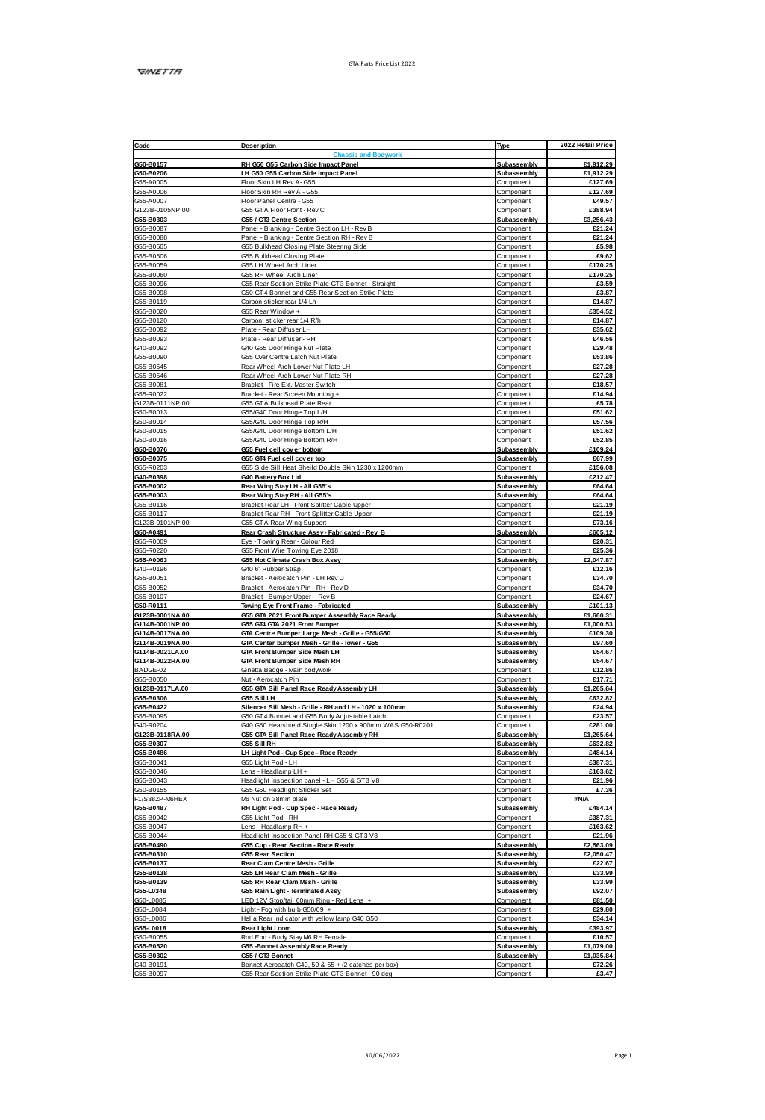| Code                               | Description                                                                                              | Type                       | 2022 Retail Price       |
|------------------------------------|----------------------------------------------------------------------------------------------------------|----------------------------|-------------------------|
| G50-B0157                          | ssis and Body<br>RH G50 G55 Carbon Side Impact Panel                                                     | Subassembly                | £1,912.29               |
| G50-B0206                          | LH G50 G55 Carbon Side Impact Panel                                                                      | Subassembly                | £1,912.29               |
| G55-A0005                          | Floor Skin LH Rev A- G55                                                                                 | Component                  | £127.69                 |
| G55-A0006                          | Floor Skin RH Rev A - G55                                                                                | Component                  | £127.69                 |
| G55-A0007                          | Floor Panel Centre - G55                                                                                 | Component                  | £49.57                  |
| G123B-0105NP.00<br>G55-B0303       | GSS GTA Floor Front - Rev C<br>G55 / GTS Centre Section                                                  | Component<br>Subassembly   | £388.94<br>£3,256.43    |
| GSS-R0087                          | Panel - Riankinn - Centre Section I H - Rev R                                                            | Component                  | £21.24                  |
| G55-B0088                          | Panel - Blanking - Centre Section RH - Rev B                                                             | Component                  | £21.24                  |
| GSS-R0505                          | G55 Bulkhead Closing Plate Steering Side                                                                 | Component                  | £5.98                   |
| G55-B0506                          | G55 Bulkhead Closing Plate                                                                               | Component                  | £9.62                   |
| G55-B0059<br>G55-B0060             | GSS LH Wheel Arch Liner<br>GSS RH Wheel Arch Liner                                                       | Component<br>Component     | £170.25<br>£170.25      |
| G55-B0096                          | G55 Rear Section Strike Plate GT3 Bonnet - Straight                                                      | Component                  | £3.59                   |
| G55-B0098                          | G50 GT4 Bonnet and G55 Rear Section Strike Plate                                                         | Component                  | £3.87                   |
| G55-B0119                          | Carbon sticker rear 1/4 Lh                                                                               | Component                  | £14.87                  |
| G55-B0020<br>G55-B0120             | GSS Rear Window +                                                                                        | Component<br>Component     | £354.52<br>£14.87       |
| GS5-B0092                          | Carbon sticker mar 1/4 R/h<br>Plate - Rear Diffuser LH                                                   | Component                  | £35.62                  |
| G55-B0093                          | Plate - Rear Diffuser - RH                                                                               | Component                  | <b>PAR 58</b>           |
| G40-B0092                          | G40 G55 Door Hinge Nut Plate                                                                             | Component                  | £29.48                  |
| G55-B0090                          | GSS Over Centre Latch Nut Plate                                                                          | Component                  | £53.86                  |
| GSS-R0545                          | Rear Wheel Arch Lower Nut Plate LH                                                                       | Component                  | 627.28                  |
| G55-B0546<br>G55-B0081             | Rear Wheel Arch Lower Nut Plate RH<br>Bracket - Fire Ext. Master Switch                                  | Component<br>Component     | £27.28<br>£18.57        |
| G55-R0022                          | Bracket - Rear Screen Mounting +                                                                         | Component                  | £14.94                  |
| G123B-0111NP.00                    | GSS GTA Bulkhead Plate Rear                                                                              | Component                  | £5.78                   |
| G50-B0013                          | GS5/G40 Door Hinge Top L/H                                                                               | Component                  | £51.62                  |
| G50-B0014                          | 355/G40 Door Hinge Top R/H                                                                               | Component                  | £57.56                  |
| G50-B0015<br>GS0-B0016             | G55/G40 Door Hinge Bottom L/H<br>G55/G40 Door Hinge Bottom R/H                                           | Component<br>Component     | £51.62<br><b>£52.85</b> |
| G50-B0076                          | G55 Fuel cell cover bottom                                                                               | Subassembly                | £109.24                 |
| G50-B0075                          | 055 GT4 Fuel cell cover top                                                                              | Subassembly                | £67.99                  |
| GSS-R0203                          | G55 Side Sill Heat Sheild Double Skin 1230 x 1200mm                                                      | Component                  | <b>£156.08</b>          |
| G40-B0398                          | <b>G40 Battery Box Lid</b>                                                                               | <b>Subassembly</b>         | £212.47                 |
| G55-B0002<br>G55-B0003             | Rear Wing Stay LH - All G55's<br>Rear Wing Stay RH - All G55's                                           | Subassembly<br>Subassembly | £64.64<br>£64.64        |
| G55-B0116                          | Bracket Rear LH - Front Solitter Cable Upper                                                             | Component                  | £21.19                  |
| G55-B0117                          | Bracket Rear RH - Front Splitter Cable Upper                                                             | Component                  | £21.19                  |
| G123B-0101NP.00                    | GSS GTA Rear Wing Support                                                                                | Component                  | £73.16                  |
| G50-A0491<br>GSS-R0009             | Rear Crash Structure Assy - Fabricated - Rev B                                                           | Subassembly                | £605.12<br>£20.31       |
| G55-R0220                          | Eye - Towing Rear - Colour Red<br>GSS Front Wire Towing Eye 2018                                         | Component<br>Component     | £25.36                  |
| G55-A0063                          | G55 Hot Climate Crash Box Assy                                                                           | Subassembly                | £2,047.87               |
| G40-R0198                          | G40 6" Rubber Strap                                                                                      | Component                  | <b>£12.16</b>           |
| G55-B0051                          | Bracket - Aerocatch Pin - LH Rev D                                                                       | Component                  | £34.70                  |
| G55-B0052                          | Bracket - Aerocatch Pin - RH - Rev D                                                                     | Component                  | £34.70                  |
| G55-B0107<br>G50-R0111             | Bracket - Bumper Upper - Rev B<br>Towing Eye Front Frame - Fabricated                                    | Component<br>Subassembly   | £24.67<br>£101.13       |
| G123B-0001NA.00                    | G55 GTA 2021 Front Bumper Assembly Race Ready                                                            | Subassembly                | £1,660.31               |
| G114B-0001NP.00                    | G55 GT4 GTA 2021 Front Bumper                                                                            | Subassembly                | £1,000.53               |
| G114B-0017NA.00                    | GTA Centre Bumper Large Mesh - Grille - G55/G50                                                          | Subassembly                | £109.30                 |
| G114B-0019NA.00<br>G114B-0021LA.00 | GTA Center bumper Mesh - Grille - lower - G55                                                            | Subassembly<br>Subassembly | £97.60<br>£54.67        |
| G114B-0022RA.00                    | GTA Front Bumper Side Mesh LH<br>GTA Front Bumper Side Mesh RH                                           | Subassembly                | £54.67                  |
| BADGE-02                           | Ginetta Badge - Main bodywork                                                                            | Component                  | <b>£12.86</b>           |
| G55-B0050                          | Nut - Aerocatch Pin                                                                                      | Component                  | £17.71                  |
| G123B-0117LA.00                    | <b>G55 GTA Sill Panel Race Ready Assembly LH</b>                                                         | Subassembly                | £1,265.64               |
| G55-B0306                          | GSS SIILH                                                                                                | Subassembly                | £632.82<br>£24.94       |
| G55-B0422<br>G55-B0095             | Silencer Sill Mesh - Grille - RH and LH - 1020 x 100mm<br>G50 GT4 Bonnet and G55 Body Adjustable Latch   | Subassembly<br>Component   | £23.57                  |
| G40-R0204                          | G40 G50 Heatshield Single Skin 1200 x 900mm WAS G50-R0201                                                | Component                  | £281.00                 |
| G123B-0118RA.00                    | <b>G55 GTA Sill Panel Race Ready Assembly RH</b>                                                         | Subassembly                | £1,265.64               |
| G55-B0307                          | G55 Sill RH                                                                                              | Subassembly                | £632.82                 |
| G55-B0486<br>GS5-B0041             | LH Light Pod - Cup Spec - Race Ready<br>GSS Light Pod - LH                                               | Subassembly<br>Component   | £484.14<br>£387.31      |
| GSS-R0046                          | Lens - Headlamp LH +                                                                                     | Component                  | <b>F16362</b>           |
| GSS.R0043                          | Readlight Inspection panel - LH G55 & GT3 V8                                                             | Component                  | £21.96                  |
| G50-B0155                          | G55 G50 Headlight Sticker Set                                                                            | Component                  | £7.36                   |
| E1/S387P-M6HEX                     | MR Nut on 38mm nlgtp                                                                                     | Component                  | 3N/A                    |
| G55-B0487<br>G55-B0042             | RH Light Pod - Cup Spec - Race Ready<br>GSS Light Pod - RH                                               | Subassembly<br>Component   | £484.14<br>£387.31      |
| G55-B0047                          | Lens - Headlamp RH +                                                                                     | Component                  | £163.62                 |
| G55-B0044                          | Headight Inspection Panel RH G55 & GT3 V8                                                                | Component                  | £21.96                  |
| G55-B0490                          | G55 Cup - Rear Section - Race Ready                                                                      | Subassembly                | £2,563.09               |
| G55-B0310<br>G55-B0137             | <b>G55 Rear Section</b><br>Rear Clam Centre Mesh - Grille                                                | Subassembly                | £2.050.47<br>£22.67     |
| G55-R0138                          | G55 LH Rear Clam Mesh - Grille                                                                           | Subassembly<br>Subassembly | 633.99                  |
| G55-B0139                          | G55 RH Rear Clam Mesh - Grille                                                                           | Subassembly                | £33.99                  |
| G55-L0348                          | G55 Rain Light - Terminated Assy                                                                         | Subassembly                | £92.07                  |
| G50-L0085                          | LED 12V Stop/tail 60mm Ring - Red Lens +                                                                 | Component                  | <b>£81.50</b>           |
| G50-L0084<br>G50-L0086             | Light - Fog with bulb G50/09 +                                                                           | Component                  | £29.80                  |
| G55-L0018                          | Hella Rear Indicator with vellow lamp G40 G50<br>Rear Light Loom                                         | Component<br>Subassembly   | £34.14<br>£393.97       |
| G50-B0055                          | Rod End - Body Stay M6 RH Female                                                                         | Component                  | £10.57                  |
| G55-B0520                          | G55 -Bonnet Assembly Race Ready                                                                          | Subassembly                | £1,079.00               |
| G55-B0302                          | G55 / GT3 Bonnet                                                                                         | Subassembly                | £1.035.84               |
| G40-B0191<br>G55-B0097             | Bonnet Aerocatch G40, 50 & 55 + (2 catches per box)<br>G55 Rear Section Strike Plate GT3 Bonnet - 90 deg | Component<br>Component     | £72.26<br>63.47         |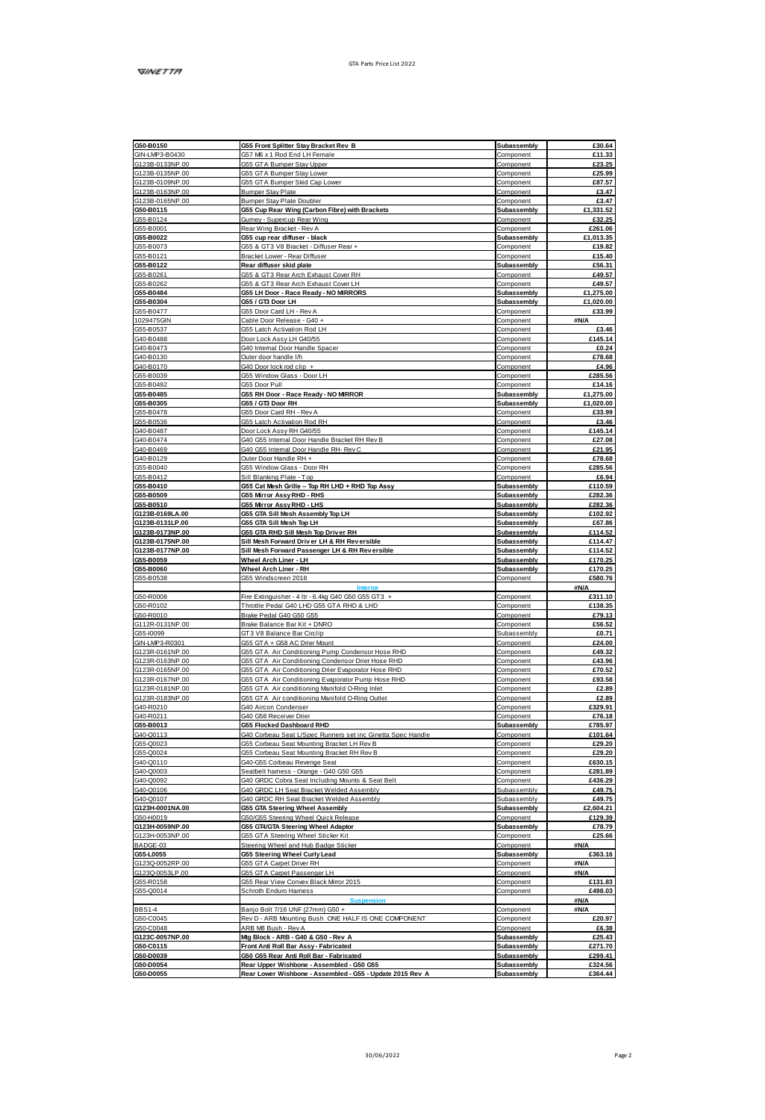| G50-B0150                                                                                        | G55 Front Splitter Stay Bracket Rev B                                                                  | Subassembly                | £30.64             |
|--------------------------------------------------------------------------------------------------|--------------------------------------------------------------------------------------------------------|----------------------------|--------------------|
| GIN-LMP3-B0430                                                                                   | G57 M6 x 1 Rod End LH Female                                                                           | Component                  | £11.33             |
| G123B-0133NP.00                                                                                  | GSS GTA Bumper Stay Upper                                                                              | Component                  | £23.25             |
| G123B-0135NP.00                                                                                  | GSS GTA Bumper Stay Lower                                                                              | Component                  | £25.99             |
| G123B-0109NP.00                                                                                  | G55 GTA Bumper Skid Cap Lower                                                                          | Component                  | £87.57             |
| G123B-0163NP.00                                                                                  | Burnper Stay Plate                                                                                     |                            | £3.47              |
|                                                                                                  | Bumper Stay Plate Doubler                                                                              | Component                  | £3.47              |
| G123B-0165NP.00                                                                                  |                                                                                                        | Component                  |                    |
| G50-B0115                                                                                        | G55 Cup Rear Wing (Carbon Fibre) with Brackets                                                         | Subassembly                | £1,331.52          |
| G55-B0124                                                                                        | <b>Burney - Supercup Rear Wing</b>                                                                     | Component                  | £32.25             |
| G55-B0001                                                                                        | Rear Winn Rranket - Rev &                                                                              | Component                  | <b>£261.06</b>     |
| G55-B0022                                                                                        | G55 cup rear diffuser - black                                                                          | Subassembly                | £1.013.35          |
| GS5-B0073                                                                                        | GSS & GT 3 V8 Bracket - Diffuser Rear +                                                                | Component                  | £19.82             |
| G55-B0121                                                                                        | Bracket Lower - Rear Diffuser                                                                          | Component                  | £15.40             |
| G55-B0122                                                                                        | Rear diffuser skid plate                                                                               | Subassembly                | £56.31             |
|                                                                                                  |                                                                                                        |                            |                    |
| G55-B0261                                                                                        | G55 & GT3 Rear Arch Exhaust Cover RH                                                                   | Component                  | £49.57             |
| G55-B0282                                                                                        | GSS & GT3 Rear Arch Exhaust Cover LH                                                                   | Component                  | £49.57             |
| G55-B0484                                                                                        | <b>G55 LH Door - Race Ready - NO MRRORS</b>                                                            | Subassembly                | £1,275.00          |
| G55-B0304                                                                                        | G55 / GT3 Door LH                                                                                      | Subassembly                | £1,020.00          |
| G55-B0477                                                                                        | GSS Door Card LH - Rev A                                                                               | Component                  | £33.99             |
| 1029475GIN                                                                                       | Cable Door Release - G40 +                                                                             | Component                  | #N/A               |
| GS5-B0537                                                                                        | GSS Latch Activation Rod LH                                                                            | Component                  | £3.46              |
| G40-B0488                                                                                        | Door Lock Assy LH G40/55                                                                               | Component                  | £145.14            |
|                                                                                                  | G40 Internal Door Handle Space                                                                         | Component                  | £0.24              |
| G40-B0473                                                                                        |                                                                                                        |                            |                    |
| G40-B0130                                                                                        | Outer door handle lift                                                                                 | Component                  | £78.68             |
| G40-B0170                                                                                        | G40 Door lock rot clin +                                                                               | Component                  | <b>PA 96</b>       |
| G55-B0039                                                                                        | GSS Window Glass - Door LH                                                                             | Component                  | £285.56            |
| GS5-B0492                                                                                        | GSS Door Pull                                                                                          | Component                  | £14.16             |
| G55-B0485                                                                                        | G55 RH Door - Race Ready - NO MRROR                                                                    | Subassembly                | £1,275.00          |
| G55-B0305                                                                                        | G55 / GT3 Door RH                                                                                      | Subassembly                | £1,020.00          |
| G55-B0478                                                                                        | G55 Door Card RH - Rev A                                                                               | Component                  | £33.99             |
| G55-B0536                                                                                        | 355 Latch Activation Rod Rt                                                                            | Component                  | £3.46              |
|                                                                                                  |                                                                                                        |                            |                    |
| G40-B0487                                                                                        | Door Lock Assy RH G40/55                                                                               | Component                  | £145.14            |
| G40-B0474                                                                                        | G40 G55 Internal Door Handle Bracket RH Rev B                                                          | Component                  | £27.08             |
| G40-B0469                                                                                        | G40 G55 Internal Door Handle RH- Rev C                                                                 | Component                  | £21.95             |
| G40-B0129                                                                                        | Outer Door Handle RH +                                                                                 | Component                  | £78.68             |
| G55-B0040                                                                                        | GSS Window Glass - Door RH                                                                             | Component                  | £285.56            |
| G55-B0412                                                                                        | Sill Blanking Plate - Top                                                                              | Component                  | £6.94              |
| G55-B0410                                                                                        | G55 Cat Mash Grille - Top RH LHD + RHD Top Assy                                                        | Subassembly                | £110.59            |
| G55-B0509                                                                                        | G55 Mirror Assy RHD - RHS                                                                              | Subassembly                | £282.36            |
|                                                                                                  |                                                                                                        |                            |                    |
| G55-B0510                                                                                        | <b>G55 Mirror Assy RHD - LHS</b>                                                                       | Subassembly                | £282.36            |
| G123B-0169LA.00                                                                                  | G55 GTA Sill Mesh Assembly Top LH                                                                      | Subassembly                | £102.92            |
| G123B-0131LP.00                                                                                  | G55 GTA Sill Mesh Too LH                                                                               | Subassembly                | £67.86             |
| G123B-0173NP.00                                                                                  | G55 GTA RHD Sill Mesh Top Driver RH                                                                    | Subassembly                | £114.52            |
| G123B-0175NP.00                                                                                  | Sill Mesh Forward Driver LH & RH Reversible                                                            | Subassembly                | £114.47            |
| 0123B-0177NP.00                                                                                  | Sill Mesh Forward Passenger LH & RH Reversible                                                         | Subassembly                | £114.52            |
| G55-B0059                                                                                        | Wheel Arch Liner - LH                                                                                  | Subassembly                | £170.25            |
| G55-B0060                                                                                        | Wheel Arch Liner - RH                                                                                  | Subassembly                | £170.25            |
|                                                                                                  |                                                                                                        |                            |                    |
| G55-B0538                                                                                        | GSS Windscreen 2018                                                                                    | Component                  | £580.76            |
|                                                                                                  |                                                                                                        |                            | <b>SN/A</b>        |
| G50-R0008                                                                                        | Fire Extinguisher - 4 ltr - 6.4kg G40 G50 G55 GT3 +                                                    | Component                  | £311.10            |
| G50-R0102                                                                                        | Throttle Pedal G40 LHD G55 GTA RHD & LHD                                                               | Component                  | £138.35            |
| G50-R0010                                                                                        | Brake Pedal G40 G50 G55                                                                                | Component                  | £79.13             |
| G112R-0131NP.00                                                                                  | Brake Balance Bar Kit + DNRO                                                                           | Component                  | £56.52             |
| G55-10099                                                                                        | GT3 V8 Balance Bar Circlip                                                                             | Subassembly                | £0.71              |
| GIN-LMP3-R0301                                                                                   | GSS GTA + GS8 AC Drier Mount                                                                           | Component                  | £24.00             |
| G123R-0161NP.00                                                                                  | G55 GTA Air Conditioning Pump Condensor Hose RHD                                                       | Component                  | £49.32             |
| G123R-0163NP.00                                                                                  |                                                                                                        |                            |                    |
| G123R-0165NP.00                                                                                  | GSS GTA Air Conditioning Condensor Drier Hose RHD                                                      | Component                  | £43.96<br>670.52   |
|                                                                                                  | GSS GTA Air Conditioning Drier Evaporator Hose RHD                                                     | Component                  |                    |
| G123R-0167NP.00                                                                                  | G55 GTA Air Conditioning Evaporator Pump Hose RHD                                                      | Component                  | £93.58             |
| G123R-0181NP.00                                                                                  | GSS GTA Air conditioning Manifold O-Ring Inlet                                                         | Component                  | £2.89              |
| G123R-0183NP.00                                                                                  | GSS GTA Air conditioning Manifold O-Ring Outlet                                                        | Component                  | £2.89              |
| G40-R0210                                                                                        | G40 Aircon Condenser                                                                                   | Component                  | £329.91            |
| G40-R0211                                                                                        | G40 G58 Receiver Drier                                                                                 | Component                  | £76.18             |
| G55-B0013                                                                                        | G55 Flocked Dashboard RHD                                                                              | Subassembly                | £785.97            |
| G40-Q0113                                                                                        | G40 Corbeau Seat L/Spec Runners set inc Ginetta Spec Handle                                            | Component                  | £101.64            |
|                                                                                                  |                                                                                                        |                            |                    |
| G55-Q0023                                                                                        | G55 Corbeau Seat Mounting Bracket LH Rev B                                                             | Component                  | £29.20             |
| G55-Q0024                                                                                        | 355 Corbeau Seat Mounting Bracket RH Rev B                                                             | Component                  | £29.20             |
| G40-Q0110                                                                                        | G40-G55 Corbeau Revenge Seat                                                                           | Component                  | £630.15            |
| G40-Q0003                                                                                        | Seathelt hamess - Orange - G40 G50 G55                                                                 | Component                  | <b>£281.89</b>     |
| G40-Q0092                                                                                        | 340 GRDC Cobra Seat Including Mounts & Seat Belt                                                       | Component                  | £436.29            |
| G40-Q0106                                                                                        | G40 GRDC LH Seat Bracket Welded Assembly                                                               | Subassembly                | £49.75             |
| G40-00107                                                                                        | G40 GRDC RH Seat Rranket Welded Assembly                                                               | Subassembly                | 649.75             |
| G123H0001NA.00                                                                                   | <b>G55 GTA Steering Wheel Assembly</b>                                                                 | Subassembly                | £2,604.21          |
| G50-H0019                                                                                        | G50/G55 Steering Wheel Quick Release                                                                   | Component                  | £129.39            |
| G123H-0059NP.00                                                                                  | G55 GT4/GTA Steering Wheel Adaptor                                                                     | Subassembly                | £78.79             |
|                                                                                                  |                                                                                                        |                            |                    |
| G123H-0053NP.00                                                                                  | G55 GTA Steering Wheel Sticker Kit                                                                     | Component                  | £25.66             |
| BADGE-03                                                                                         | Steering Wheel and Hub Badge Sticker                                                                   | Component                  | <b>#N/A</b>        |
| G55-L0055                                                                                        | <b>G55 Steering Wheel Curly Lead</b>                                                                   | Subassembly                | £363.16            |
| G123Q0052RP.00                                                                                   | GSS GTA Carpet Driver RH                                                                               | Component                  | <b>#N/A</b>        |
| G123Q-0053LP.00                                                                                  |                                                                                                        |                            | AN/A               |
| G55-R0158                                                                                        |                                                                                                        | Component                  |                    |
|                                                                                                  | G55 GTA Carpet Passenger LH                                                                            |                            |                    |
|                                                                                                  | G55 Rear View Convex Black Mmor 2015                                                                   | Component                  | £131.83            |
|                                                                                                  | Schroth Enduro Hamess                                                                                  | Component                  | £498.03            |
|                                                                                                  |                                                                                                        |                            | <b>ANIA</b>        |
|                                                                                                  | Banio Bolt 7/16 UNF (27mm) G50 +                                                                       | Component                  | #N/A               |
|                                                                                                  | Rev D - ARB Mounting Bush ONE HALF IS ONE COMPONENT                                                    | Component                  | £20.97             |
|                                                                                                  | ARB MB Bush - Rev A                                                                                    | Component                  | £6.38              |
|                                                                                                  | Mtg Block - ARB - G40 & G50 - Rev A                                                                    | Subassembly                | £25.43             |
|                                                                                                  |                                                                                                        | Subassembly                | £271.70            |
|                                                                                                  | Front Anti Roll Bar Assy - Fabricated<br>050 055 Rear Anti Roll Bar - Fabricated                       | Subassembly                | £299.41            |
| G55-Q0014<br><b>BBS14</b><br>G50-C0045<br>G50-C0048<br>G123C-0057NP.00<br>G50-C0115<br>G50-D0039 |                                                                                                        |                            |                    |
| G50-D0054<br>G50-D0055                                                                           | Rear Upper Wishbone - Assembled - 050 055<br>Rear Lower Wishbone - Assembled - Q55 - Update 2015 Rev A | Subassembly<br>Subassembly | £324.56<br>£364.44 |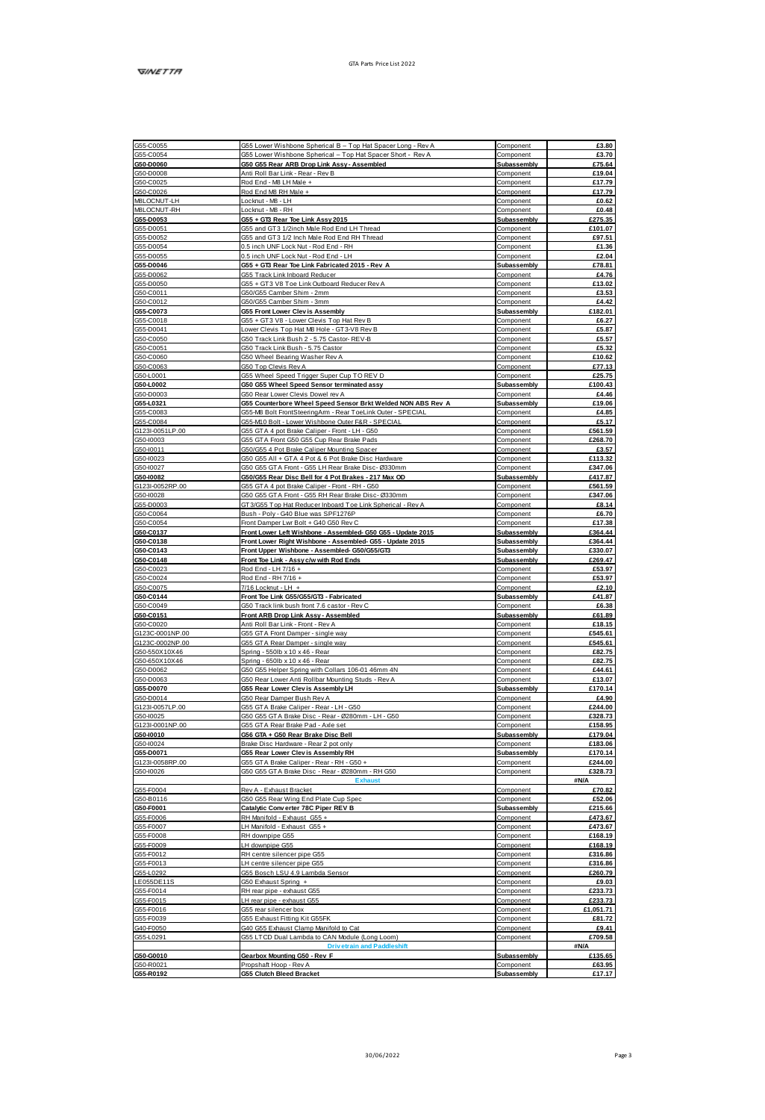| G55-C0055              | G55 Lower Wishbone Spherical B - Top Hat Spacer Long - Rev A | Component                | £3.80          |
|------------------------|--------------------------------------------------------------|--------------------------|----------------|
| GS5-C0054              | G55 Lower Wishbone Spherical - Top Hat Spacer Short - Rev A  | Component                | 63.70          |
| G50-D0060              | 050 055 Rear ARB Drop Link Assy - Assembled                  | Subassembly              | £75.64         |
| G50-D0008              | Anti Roll Bar Link - Rear - Rev B                            | Component                | £19.04         |
| G50-C0025              | Rod End - MB LH Male +                                       | Component                | £17.79         |
|                        |                                                              |                          |                |
| G50-C0026              | Rod End M8 RH Male +                                         | Component                | £17.79         |
| MBLOCNUT-LH            | Locknut - MB - LH                                            | Component                | £0.62          |
| M&LOCNUT-RH            | Locknut - MB - RH                                            | Component                | £0.48          |
| G55-D0053              | G55 + GT3 Rear Toe Link Assy 2015                            | Subassembly              | £275.35        |
| GSS-D0051              | GS5 and GT3 1/2inch Male Rod End LH Thread                   | Component                | £101.07        |
| G55-D0052              | G55 and GT3 1/2 Inch Male Rod End RH Thread                  | Component                | £97.51         |
| GSS-D0054              | 0.5 inch UNF Lock Nut - Rod End - RH                         |                          | £1.36          |
|                        |                                                              | Component                |                |
| GSS-D0055              | 0.5 inch LINE Lock Not - Rod End - LH                        | Component                | £2.04          |
| G55-D0046              | G55 + GT3 Rear Toe Link Fabricated 2015 - Rev A              | <b>Subassembly</b>       | £78.81         |
| G55-D0062              | G55 Track Link Inboard Reducer                               | Component                | £4.76          |
| G55-D0050              | G55 + GT3 V8 Toe Link Outboard Reducer Rev A                 | Component                | £13.02         |
|                        |                                                              | Component                |                |
| G50-C0011              | GS0/GS5 Camber Shim - 2mm                                    |                          | £3.53          |
| G50-C0012              | GS0/GS5 Camber Shim - 3mm                                    | Component                | £4.42          |
| G55-C0073              | G55 Front Lower Clev is Assembly                             | Subassembly              | £182.01        |
| G55-C0018              | G55 + GT3 V8 - Lower Clevis Top Hat Rev B                    | Component                | £6.27          |
| G55-D0041              | Lower Clevis Top Hat MB Hole - GT3-V8 Rev B                  | Component                | £5.87          |
| G50-C0050              | 350 Track Link Bush 2 - 5.75 Castor-REV-B                    | Component                | £5.57          |
| G50-C0051              | GS0 Track Link Rush - 5.75 Caston                            | Component                | 65.32          |
|                        |                                                              |                          |                |
| G50-C0060              | G50 Wheel Bearing Washer Rev A                               | Component                | £10.62         |
| G50-C0063              | 350 Top Clevis Rev A                                         | Component                | £77.13         |
| G50-L0001              | G55 Wheel Speed Trigger Super Cup TO REV D                   | Component                | £25.75         |
| G50-L0002              | G50 G55 Wheel Speed Sensor terminated assv                   | Subassembly              | £100.43        |
| G50-D0003              | G50 Rear Lower Clevis Dowel rev A                            | Component                | £4.46          |
|                        |                                                              |                          |                |
| G55-L0321              | G55 Counterbore Wheel Speed Sensor Brkt Welded NON ABS Rev A | Subassembly              | £19.06         |
| G55-C0083              | G55-M8 Bolt FrontSteeringArm - Rear ToeLink Outer - SPECIAL  | Component                | £4.85          |
| G55-C0084              | GSSAMO Bolt - Lower Wishhoop Outer F&R - SPECIAL             | Component                | 65.17          |
| G123I-0051LP.00        | GSS GTA 4 pot Brake Caliper - Front - LH - GS0               | Component                | £561.59        |
| G50-10003              | 355 GTA Front G50 G55 Cup Rear Brake Pads                    | Component                | £268.70        |
|                        |                                                              |                          |                |
| G50-10011              | G50/G55 4 Pot Brake Caliper Mounting Spacer                  | Component                | 63.57          |
| G50-I0023              | G50 G55 All + GTA 4 Pot & 6 Pot Brake Disc Hardware          | Component                | £113.32        |
| GS0-10027              | G50 G55 GTA Front - G55 LH Rear Brake Disc- Ø330mm           | Component                | £347.06        |
| G50-I0082              | G50/G55 Rear Disc Bell for 4 Pot Brakes - 217 Max OD         | Subassembly              | £417.87        |
|                        |                                                              |                          |                |
| G123I-0052RP.00        | G55 GTA 4 pot Brake Caliper - Front - RH - G50               | Component                | £561.59        |
| G50-10028              | 350 G55 GTA Front - G55 RH Rear Brake Disc- Ø330mm           | Component                | £347.06        |
| GSS-D0003              | GT3/G55 Top Hat Reducer Inboard Toe Link Spherical - Rev A   | Component                | £8.14          |
| G50-C0064              | Bush - Poly - G40 Blue was SPF1276P                          | Component                | <b>66.70</b>   |
| G50-C0054              | Front Damper Lwr Bolt + G40 G50 Rev C                        | Component                | £17.38         |
| G50-C0137              | Front Lower Left Wishbone - Assembled- G50 G55 - Update 2015 | Subassembly              | £364.44        |
| G50-C0138              | Front Lower Right Wishbone - Assembled- Q55 - Update 2015    | Subassembly              | £364.44        |
|                        |                                                              |                          |                |
| G50-C0143              | Front Upper Wishbone - Assembled- 050/055/0T3                | Subassembly              | £330.07        |
| G50-C0148              | Front Toe Link - Assy c/w with Rod Ends                      | Subassembly              | £269.47        |
| G50-C0023              | Rod End - LH 7/16 +                                          | Component                | £53.97         |
| G50-C0024              | Rod End - RH 7/16+                                           | Component                | £53.97         |
| G50-C0075              | 7/16 Locknut - LH +                                          | Component                | £2.10          |
| G50-C0144              | Front Toe Link G55/G55/GT3 - Fabricated                      | Subassembly              | £41.87         |
|                        |                                                              |                          |                |
| G50-C0049              | G50 Track link bush front 7.6 castor - Rev C                 | Component                | £6.38          |
| G50-C0151              | Front ARB Drop Link Assy - Assembled                         | Subassembly              | <b>F6189</b>   |
| G50-C0020              | Anti Roll Bar Link - Front - Rev A                           | Component                | £18.15         |
| G123C-0001NP.00        | GSS GTA Front Damper - single way                            | Component                | £545.61        |
| G123C-0002NP 00        | GSS GTA Rear Damper - single way                             | Component                | <b>FS45 61</b> |
|                        |                                                              |                          |                |
| G50-550X10X46          | Spring - 550lb x 10 x 46 - Rear                              | Component                | £82.75         |
| G50-650X10X46          | Spring - 650lb x 10 x 46 - Rear                              | Component                | £82.75         |
| G50-D0062              | G50 G55 Helper Spring with Collars 106-01 46mm 4N            | Component                | £44.61         |
| G50-D0063              | G50 Rear Lower Anti Rollbar Mounting Studs - Rev A           | Component                | £13.07         |
| G55-D0070              | G55 Rear Lower Clevis Assembly LH                            | Subassembly              | £170.14        |
| G50-D0014              | 350 Rear Damper Bush Rev A                                   | Component                | £4.90          |
|                        | GSS GTA Rigie Caliner - Regr - I H - GS0                     |                          | £244.00        |
| G123I-0057LP.00        |                                                              | Component                |                |
| G50-I0025              | G50 G55 GTA Brake Disc - Rear - Ø280mm - LH - G50            | Component                | £328.73        |
| G123I-0001NP.00        | G55 GTA Rear Brake Pad - Axle set                            | Component                | £158.95        |
| G50-I0010              | G56 GTA + G50 Rear Brake Disc Bell                           | Subassembly              | £179.04        |
| G50-10024              | Brake Disc Hardware - Rear 2 pot only                        | Component                | £183.06        |
| G55-D0071              | G55 Rear Lower Clevis Assembly RH                            | Subassembly              | £170.14        |
| G123I-0058RP.00        | GSS GTA Brake Caliper - Rear - RH - GS0 +                    | Component                | £244.00        |
|                        |                                                              |                          |                |
| G50-10026              | G50 G55 GTA Brake Disc - Rear - Ø280mm - RH G50              | Component                | £328.73        |
|                        |                                                              |                          | <b>SN/A</b>    |
| G55-F0004              | Rev A - Exhaust Bracket                                      | Component                | £70.82         |
| G50-B0116              | G50 G55 Rear Wing End Plate Cup Spec                         | Component                | £52.06         |
| G50-F0001              | Catalytic Converter 78C Piper REV B                          | Subassembly              | <b>6215 68</b> |
| G55-F0006              | RH Manifold - Exhaust GSS +                                  | Component                | £473.67        |
|                        |                                                              |                          |                |
| G55-F0007              | H Manifold - Exhaust G55 +                                   | Component                | £473.67        |
| G55-F0008              | RH downpipe G55                                              | Component                | £168.19        |
| G55-F0009              | LH downpipe G55                                              | Component                | £168.19        |
| GS5-F0012              | RH centre silencer pipe G55                                  | Component                | £316.86        |
| G55-F0013              | LH centre silencer pipe G55                                  | Component                | £316.86        |
| G55-L0292              | GSS Bosch LSU 4.9 Lambda Sensor                              | Component                | £260.79        |
|                        |                                                              |                          |                |
| LE055DE11S             | G50 Exhaust Spring +                                         | Component                | £9.03          |
| G55-F0014              | RH rear pipe - exhaust GSS                                   | Component                | £233.73        |
| GS5-F0015              | H rear pipe - exhaust GSS                                    | Component                | 6233.73        |
| G55-F0016              | GSS rear silencer box                                        | Component                | £1.051.71      |
| GSS-F0039              | GSS Exhaust Fitting Kit GSSFK                                | Component                | £81.72         |
|                        |                                                              |                          |                |
| G40-F0050              | G40 G55 Exhaust Clamp Manifold to Car                        | Component                | £9.41          |
| G55-L0291              | GSS LTCD Dual Lambda to CAN Module (Long Loom)               | Component                | £709.58        |
|                        | <b>Drivetrain and Paddleshift</b>                            |                          | AN/A           |
| G50-G0010              | Gearbox Mounting G50 - Rev F                                 | Subassembly              | £135.65        |
|                        |                                                              |                          |                |
|                        |                                                              |                          | £63.95         |
| G50-R0021<br>G55-R0192 | Propshaft Hoop - Rev A<br>G55 Clutch Bleed Bracket           | Component<br>Subassembly | £17.17         |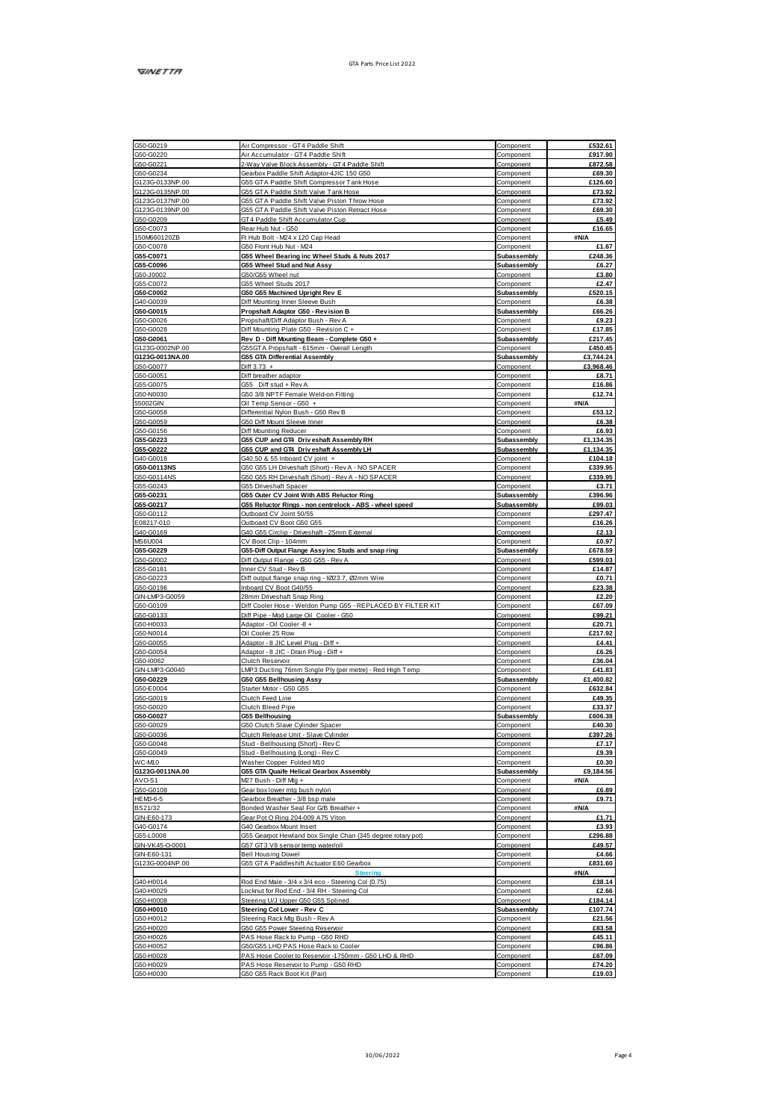| G50-G0219              |                                                                      |                        |                  |
|------------------------|----------------------------------------------------------------------|------------------------|------------------|
|                        | Air Compressor - GT4 Paddle Shift                                    | Component              | £532.61          |
| GS0.G0220              | Air Accumulator - GT4 Paddle Shift                                   | Component              | £917.90          |
| GS0.G0221              | 2-Way Valve Block Assembly - GT4 Paddle Shift                        | Component              | £872.58          |
| G50-G0234              |                                                                      | Component              |                  |
|                        | Gearbox Paddle Shift Adaptor-4JIC 150 G50                            |                        | £69.30           |
| G123G-0133NP.00        | GSS GTA Paddie Shift Compressor Tank Hose                            | Component              | £126.60          |
| G123G0135NP.00         | GSS GTA Paddie Shift Valve Tank Hose                                 | Component              | £73.92           |
| G123G0137NP.00         | GSS GTA Paddle Shift Valve Piston Throw Hose                         | Component              | £73.92           |
|                        |                                                                      |                        |                  |
| G123G-0139NP.00        | GSS GTA Paddle Shift Valve Piston Retract Hose                       | Component              | £69.30           |
| G50-G0209              | GT4 Paddle Shift Accumulator Cup                                     | Component              | £5.49            |
| G50-C0073              | Rear Hub Nut - G50                                                   | Component              | £16.65           |
| 150M660120ZB           | Pt Hub Bolt - M24 x 120 Cap Head                                     | Component              | <b>SNA</b>       |
|                        |                                                                      |                        |                  |
| G50-C0078              | G50 Front Hub Nut - M24                                              | Component              | £1.67            |
| 055/00071              | G55 Wheel Bearing inc Wheel Studs & Nuts 2017                        | <b>Subassembly</b>     | <b>F248.38</b>   |
| G55-C0096              | G55 Wheel Stud and Nut Assy                                          | Subassembly            | £6.27            |
| G50-J0002              | GS0/GS5 Wheel nut                                                    |                        | £3.80            |
|                        |                                                                      | Component              |                  |
| G55-C0072              | GSS Wheel Studs 2017                                                 | Component              | £2.47            |
| G50-C0002              | G50 G55 Machined Upright Rev E                                       | Subassembly            | £520.15          |
| G40-G0039              | Diff Mounting Inner Sleeve Bush                                      | Component              | £6.38            |
| G50-G0015              | Propshaft Adaptor G50 - Revision B                                   | Subassembly            | £66.26           |
|                        |                                                                      |                        |                  |
| G50-G0026              | Propshaft/Diff Adaptor Bush - Rev A                                  | Component              | £9.23            |
| G50-G0028              | Diff Mounting Plate G50 - Revision C +                               | Component              | £17.85           |
| G50-G0061              | Rev. D - Diff Mounting Beam - Complete G50                           | Subassembly            | £217.45          |
| G123G-0002NP.00        |                                                                      |                        | £450.45          |
|                        | G55GTA Propshaft - 615mm - Overall Length                            | Component              |                  |
| G123G-0013NA.00        | <b>G55 GTA Differential Assembly</b>                                 | Subassembly            | 63.744.24        |
| G50-G0077              | $Diff 3.73 +$                                                        | Component              | £3,968.46        |
| G50-G0051              | Diff breather adaptor                                                | Component              | £8.71            |
| 055,00075              |                                                                      | Component              | <b>£16.86</b>    |
|                        | GSS Diff stud + Rev A                                                |                        |                  |
| G50-N0030              | G50 3/8 NPTF Female Weld-on Fitting                                  | Component              | £12.74           |
| 55002GIN               | Oil Temp Sensor - G50 +                                              | Component              | <b>#N/A</b>      |
| G50-G0058              | Differential Nylon Bush - G50 Rev B                                  | Component              | £53.12           |
|                        |                                                                      |                        |                  |
| G50-G0059              | G50 Diff Mount Sleeve Inner                                          | Component              | £6.38            |
| G50-G0156              | Diff Mounting Reducer                                                | Component              | £6.93            |
| G55-G0223              | G55 CUP and GT4 Driveshaft Assembly RH                               | Subassembly            | £1.134.35        |
| G55-G0222              | G55 CUP and GT4 Driveshaft Assembly LH                               | Subassembly            | £1.134.35        |
| G40-G0018              |                                                                      |                        | £104.18          |
|                        | G40.50 & 55 Inboard CV joint +                                       | Component              |                  |
| G50-G0113NS            | G50 G55 LH Driveshaft (Short) - Rev A - NO SPACER                    | Component              | £339.95          |
| G50-G0114NS            | G50 G55 RH Driveshaft (Short) - Rev A - NO SPACER                    | Component              | £339.95          |
| G55-G0243              | GSS Driveshaft Spacer                                                | Component              | £3.71            |
| G55-G0231              |                                                                      | <b>Subassembly</b>     | £396.96          |
|                        | G55 Outer CV Joint With ABS Reluctor Ring                            |                        |                  |
| 055-00217              | G55 Reluctor Rings - non centrelock - ABS - wheel speed              | Subassembly            | £99.03           |
| G50-G0112              | Outboard CV Joint 50/55                                              | Component              | £297.47          |
| E08217-010             | Outboard CV Boot G50 G55                                             | Component              | £16.26           |
| G40-G0169              | G40 G55 Circlip - Driveshaft - 25mm External                         | Component              | £2.13            |
| <b>MS6LI004</b>        | CV Boot Clip - 104m                                                  | Component              | £0.97            |
|                        |                                                                      |                        |                  |
| G55-G0229              | <b>G55-Diff Output Flange Assy inc Studs and snap ring</b>           | Subassembly            | <b>FR78 59</b>   |
| 650.60002              | Diff Output Flange - G50 G55 - Rev A                                 | Component              | <b>£599.03</b>   |
| G55-G0181              | Inner CV Stud - Rev B                                                | Component              | £14.87           |
| G50-G0223              | Diff output flange snap ring - IØ23.7, Ø2mm Wire                     | Component              | £0.71            |
| G50-G0196              | Inboard CV Boot G40/55                                               | Component              | £23.38           |
| GIN-LMP3-G0059         |                                                                      | Component              |                  |
|                        | 28mm Driveshaft Snap Ring                                            |                        | £2.20            |
| G50-G0109              | Diff Cooler Hose - Weldon Pump G55 - REPLACED BY FILTER KIT          | Component              | £67.09           |
| G50-G0133              | Diff Pipe - Mod Large Oil Cooler - G50                               | Component              | £99.21           |
| G50-H0033              | Adaptor - Oil Cooler -8 +                                            | Component              | £20.71           |
| G50-N0014              | Oil Cooler 25 Row                                                    | Component              | £217.92          |
| G50-G0055              | Adaptor - 8 JIC Level Plug - Diff +                                  | Component              | £4.41            |
| 650,00054              | Adaptor - 8 JIC - Drain Plug - Diff +                                | Component              | <b>PR 28</b>     |
|                        |                                                                      |                        | £36.04           |
| G50-10062              | Clutch Reservoir                                                     | Component              |                  |
| GIN-LMP3-G0040         | LMP3 Ducting 76mm Single Ply (per metre) - Red High Temp             |                        |                  |
| G50-G0229              |                                                                      | Component              | £41.83           |
|                        | G50 G55 Bellhousing Assy                                             | Subassembly            | £1,400.82        |
|                        |                                                                      |                        |                  |
| G50-E0004              | Stanar Motor - G50 G55                                               | Component              | £632.84          |
| G50-G0019              | Clutch Feed Line                                                     | Component              | £49.35           |
| G50-G0020              | Clutch Bleed Pipe                                                    | Component              | £33.37           |
| G50-G0027              | <b>G55 Bellhousing</b>                                               | Subassembly            | £606.38          |
|                        |                                                                      |                        |                  |
| G50-G0029              | G50 Clutch Slave Cylinder Spacer                                     | Component              | £40.30           |
| G50-G0036              | Clutch Release Unit - Slave Cylinder                                 | Component              | £397.26          |
| G50-G0048              | Stud - Bellhousing (Short) - Rev C                                   | Component              | £7.17            |
| GS0.G0049              | Stud - Bellhousing (Long) - Rev C                                    | Component              | 69.39            |
| WC-M10                 | Washer Copper Folded M10                                             | Component              | £0.30            |
| G123G-0011NA.00        | <b>G55 GTA Quaife Helical Gearbox Assembly</b>                       | Subassembly            | £9,184.56        |
| AVO.S1                 |                                                                      |                        |                  |
|                        | M27 Bush - Diff Mg +                                                 | Component              | #N/A             |
| G50-G0108              | Gearbox lower mtg bush nylon                                         | Component              | £6.89            |
| HEM3-6-5               | Gearbox Breather - 3/8 bsp male                                      | Component              | £9.71            |
| BS21/32                | Bonded Washer Seal For G/B Breather +                                | Component              | #N/A             |
| GIN-E60-173            | Gear Pot O Ring 204-009 A75 Viton                                    | Component              | £1.71            |
|                        |                                                                      |                        |                  |
| G40-G0174              | G40 Gearbox Mount Insert                                             | Component              | £3.93            |
| G55-L0008              | G55 Gearpot Hewland box Single Chan (345 degree rotary pot)          | Component              | £296.88          |
| GIN-VK45-0-0001        | G57 GT3 V8 sensor temp waterioil                                     | Component              | £49.57           |
| GINJE60-131            | <b>Bell Housing Dowel</b>                                            | Component              | <b>PA 68</b>     |
| G123G-0004NP.00        | G55 GTA Paddieshift Actuator E60 Gearbox                             | Component              | £831.60          |
|                        |                                                                      |                        | #N/A             |
| G40-H0014              |                                                                      |                        |                  |
|                        | Rod End Male - 3/4 x 3/4 eco - Steering Col (0.75)                   | Component              | £38.14           |
| G40-H0029              | Locknut for Rod End - 3/4 RH - Steering Col                          | Component              | <b>62.68</b>     |
| G50-H0008              | Steering U/J Upper G50 G55 Splined                                   | Component              | £184.14          |
| G50-H0010              | Steering Col Lower - Rev C                                           | Subassembly            | £107.74          |
| GS0-H0012              |                                                                      | Component              | £21.56           |
| G50-H0020              | Steering Rack Mg Bush - Rev A<br>G50 G55 Power Steering Reservoir    | Component              | £83.58           |
|                        |                                                                      |                        |                  |
| G50-H0026              | PAS Hose Rack to Pump - G50 RHD                                      | Component              | £45.11           |
| GS0-H1052              | GS0/GSS I HD PAS Hose Reck to Conter                                 | Component              | <b>F96.86</b>    |
| GS0-H1028              | PAS Hose Cooler to Reservoir -1750mm - G50 LHD & RHD                 | Component              | £67.09           |
| G50-H0029<br>G50-H0030 | PAS Hose Reservoir to Pump - G50 RHD<br>G50 G55 Rack Boot Kit (Pair) | Component<br>Component | £74.20<br>£19.03 |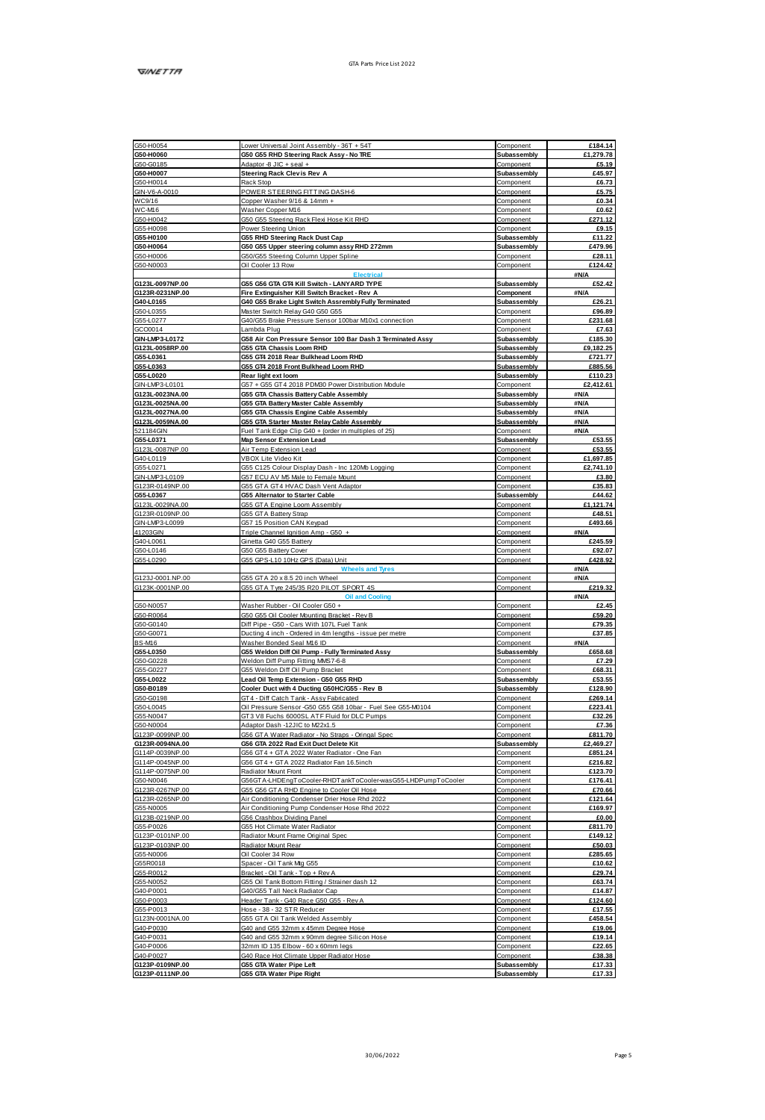| G50-H0054                          |                                                                   |                            |                      |
|------------------------------------|-------------------------------------------------------------------|----------------------------|----------------------|
|                                    | Lower Universal Joint Assembly - 36T + 54T                        | Component                  | £184.14              |
| G50-H0060                          | G50 G55 RHD Steering Rack Assy - No TRE                           | Subassembly                | £1,279.78            |
| G50-G0185                          | + less + OIL 8-seal +                                             | Component                  | £5.19                |
|                                    |                                                                   | Subassembly                | £45.97               |
| G50-H0007                          | <b>Steering Rack Clevis Rev A</b>                                 |                            |                      |
| G50-H0014                          | Rack Stop                                                         | Component                  | £6.73                |
| GIN-V6-A-0010                      | POWER STEERING FITTING DASH-6                                     | Component                  | £5.75                |
| <b>WC9/16</b>                      | Copper Washer 9/16 & 14mm +                                       | Component                  | £0.34                |
| WC-M16                             | Washer Copper M16                                                 | Component                  | £0.62                |
| G50-H0042                          | 350 G55 Steering Rack Flexi Hose Kit RHD                          | Component                  | £271.12              |
|                                    |                                                                   |                            |                      |
| GSSJH0098                          | Power Steering Union                                              | Component                  | 69.15                |
| G55-H0100                          | <b>G55 RHD Steering Rack Dust Cap</b>                             | Subassembly                | £11.22               |
| G50-H0064                          | G50 G55 Upper steering column assy RHD 272mm                      | Subassembly                | £479.96              |
| G50-H0006                          | G50/G55 Steering Column Upper Spline                              | Component                  | £28.11               |
|                                    |                                                                   |                            |                      |
| G50-N0003                          | Oil Cooler 13 Row                                                 | Component                  | £124.42              |
|                                    |                                                                   |                            | #N/A                 |
| G123L-0097NP.00                    | G55 G56 GTA GT4 Kill Switch - LANYARD TYPE                        | Subassembly                | £52.42               |
| G123R-0231NP.00                    | Fire Extinguisher Kill Switch Bracket - Rev A                     |                            | <b>SNA</b>           |
|                                    |                                                                   | Component                  |                      |
| G40-L0165                          | G40 G55 Brake Light Switch Assrembly Fully Terminated             | Subassembly                | £26.21               |
| G50-L0355                          | Master Switch Relay G40 G50 G55                                   | Component                  | £96.89               |
| G55-L0277                          | G40/G55 Brake Pressure Sensor 100bar M10x1 connection             | Component                  | £231.68              |
| GCO0014                            | Lambda Plug                                                       | Component                  | £7.63                |
|                                    |                                                                   |                            |                      |
| GIN-LMP3-L0172                     | G58 Air Con Pressure Sensor 100 Bar Dash 3 Terminated Assy        | <b>Subassembly</b>         | £185.30              |
| G123L-0058RP.00                    | <b>G55 GTA Chassis Loom RHD</b>                                   | Subassembly                | £9.182.25            |
| G55-L0361                          | G55 GT4 2018 Rear Bulkhead Loom RHD                               | Subassembly                | £721.77              |
| 05540383                           | G55 GT4 2018 Front Bulkhead Loom RHD                              | <b>Subassembly</b>         | <b>FRR5 56</b>       |
|                                    |                                                                   |                            |                      |
| G55-L0020                          | Rear light ext loom                                               | Subassembly                | £110.23              |
| GIN-LMP3-L0101                     | G57 + G55 GT4 2018 PDM90 Power Distribution Module                | Component                  | £2,412.61            |
| G123L-0023NA.00                    | G55 GTA Chassis Battery Cable Assembly                            | Subassembly                | <b>ANIA</b>          |
| G123L-0025NA.00                    | G55 GTA Battery Master Cable Assembly                             | Subassembly                | #N/A                 |
|                                    |                                                                   |                            |                      |
| G123L-0027NA.00                    | <b>G55 GTA Chassis Engine Cable Assembly</b>                      | Subassembly                | #N/A                 |
| G123L-0059NA.00                    | 055 GTA Starter Master Relay Cable Assembly                       | Subassembly                | #N/A                 |
| 521184GIN                          | Fuel Tank Edge Clip G40 + (order in multiples of 25)              | Component                  | #N/A                 |
| G55-L0371                          | Map Sensor Extension Lead                                         | Subassembly                | 653.55               |
|                                    |                                                                   |                            |                      |
| G123L-0087NP.00                    | Air Temp Extension Lead                                           | Component                  | £53.55               |
| G40-L0119                          | <b>VBOX Lite Video Kit</b>                                        | Component                  | £1,697.85            |
| GS5-L0271                          | GSS C125 Colour Display Dash - Inc 120Mb Logging                  | Component                  | £2.741.10            |
|                                    |                                                                   |                            |                      |
| GIN-LMP3-L0109                     | G57 ECU AV M5 Male to Female Mount                                | Component                  | £3.80                |
| G123R-0149NP.00                    | GSS GTA GT4 HVAC Dash Vent Adaptor                                | Component                  | £35.83               |
| G55-L0367                          | G55 Alternator to Starter Cable                                   | Subassembly                | £44.62               |
|                                    |                                                                   | Component                  |                      |
| G123L-0029NA.00                    | GSS GTA Engine Loom Assembly                                      |                            | £1,121.74            |
| G123R-0109NP.00                    | GSS GTA Battery Strap                                             | Component                  | £48.51               |
| GIN-LMP3-L0099                     | G57 15 Position CAN Keypad                                        | Component                  | £493.66              |
| 41203GIN                           | Triple Channel Ignition Amp - G50 +                               | Component                  | <b>SN/A</b>          |
| G40-L0061                          | Ginetta G40 G55 Battery                                           | Component                  | 6245.59              |
|                                    |                                                                   |                            |                      |
| G50-L0146                          | GS0 GS5 Battery Cover                                             | Component                  | £92.07               |
| G55-L0290                          | GSS GPS-L10 10Hz GPS (Data) Unit                                  | Component                  | £428.92              |
|                                    | oels and Tres                                                     |                            | AN/A                 |
| G123J-0001.NP.00                   | GS5 GTA 20 x 8.5 20 inch Wheel                                    | Component                  | #N/A                 |
|                                    |                                                                   |                            |                      |
|                                    |                                                                   |                            |                      |
| G123K-0001NP.00                    | GSS GTA Tyre 245/35 R20 PILOT SPORT 4S                            | Component                  | £219.32              |
|                                    |                                                                   |                            | #N/A                 |
|                                    |                                                                   |                            |                      |
| G50-N0057                          | Washer Rubber - Oil Cooler G50 +                                  | Component                  | £2.45                |
| G50-R0064                          | G50 G55 Oil Cooler Mounting Bracket - Rev B                       | Component                  | £59.20               |
| G50-G0140                          | Diff Pipe - G50 - Cars With 107L Fuel Tank                        | Component                  | £79.35               |
| G50-G0071                          |                                                                   | Component                  | £37.85               |
|                                    | Ducting 4 inch - Ordered in 4m lengths - issue per metre          |                            |                      |
| <b>BS-M16</b>                      | Washer Bonded Seal M16 ID                                         | Component                  | <b>SN/A</b>          |
| G55-L0350                          | G55 Weldon Diff Oil Pump - Fully Terminated Assy                  | Subassembly                | £658.68              |
| G50-G0228                          | Weldon Diff Pump Fitting MMS7-6-8                                 | Component                  | £7.29                |
| 055.00227                          | G55 Weldon Diff Oil Pump Bracket                                  | Component                  | <b>FRR 31</b>        |
|                                    |                                                                   | Subassembly                | £53.55               |
| G55-L0022                          | Lead Oil Temp Extension - G50 G55 RHD                             |                            |                      |
| G50-B0189                          | Cooler Duct with 4 Ducting G50HC/G55 - Rev B                      | Subassembly                | £128.90              |
| G50-G0198                          | GT4 - Diff Catch Tank - Assy Fabricated                           | Component                  | £269.14              |
|                                    | Oil Pressure Sensor -G50 G55 G58 10bar - Fuel See G55-M0104       |                            | £223.41              |
| G50-L0045                          |                                                                   | Component                  |                      |
| GS5-N0047                          | GT3 V8 Fuchs 6000SL ATF Fluid for DLC Pumps                       | Component                  | £32.26               |
| G50-N0004                          | Adaptor Dash -12JIC to M22d.5                                     | Component                  | £7.36                |
| G123P-0099NP.00                    | G56 GTA Water Radiator - No Straps - Oringal Spec                 | Component                  | £811.70              |
|                                    | G56 GTA 2022 Rad Exit Duct Delete Kit                             | Subassembly                |                      |
| G123R-0094NA.00<br>G114P-0039NP.00 | 356 GT4 + GTA 2022 Water Radiator - One Fan                       | Component                  | £2,469.27<br>£851.24 |
|                                    |                                                                   |                            |                      |
| G114P-0045NP.00                    | G56 GT4 + GTA 2022 Radiator Fan 16.5inch                          | Component                  | £216.82              |
| G114P-0075NP.00                    | Radiator Muret Front                                              | Component                  | £123.70              |
| G50-N0046                          | 356GTA-LHDEngToCooler-RHDTankToCooler-wasG55-LHDPumpToCooler      | Component                  | £176.41              |
|                                    |                                                                   |                            |                      |
| G123R-0267NP.00                    | GSS GS6 GTA RHD Engine to Cooler Oil Hose                         | Component                  | £70.66               |
| G123R-0265NP 00                    | Air Conditioning Condanser Drier Hose Rhd 2022                    | Component                  | <b>#121 64</b>       |
| G55-N0005                          | Air Conditioning Pump Condenser Hose Rhd 2022                     | Component                  | £169.97              |
| G123B-0219NP.00                    | G56 Crashbox Dividing Panel                                       | Component                  | £0.00                |
| G55-P0026                          | GSS Hot Climate Water Radiator                                    | Component                  | £811.70              |
|                                    |                                                                   |                            |                      |
| G123P-0101NP.00                    | Radiator Mount Frame Original Spec                                | Component                  | £149.12              |
| G123P-0103NP.00                    | Radiator Mount Rear                                               | Component                  | £50.03               |
| G55-N0006                          | Oil Cooler 34 Ro                                                  | Component                  | £285.65              |
|                                    | Spacer - Oil Tank Mg G55                                          |                            | £10.62               |
| G55R0018                           |                                                                   | Component                  | 629.74               |
| G55-R0012                          | Bracket - Oil Tank - Too + Rev A                                  | Component                  |                      |
| G55-N0052                          | GSS Oil Tank Bottom Fitting / Strainer dash 12                    | Component                  | £63.74               |
| G40-P0001                          | G40/G55 Tall Neck Radiator Cap                                    | Component                  | £14.87               |
|                                    | Hearler Tonk - G40 Rone G50 G55 - Rev &                           | Component                  | £124.60              |
| G50-P0003                          |                                                                   |                            |                      |
| G55-P0013                          | Hose - 38 - 32 STR Reducer                                        | Component                  | £17.55               |
| G123N-0001NA.00                    | GSS GTA Oil Tank Welded Assembly                                  | Component                  | £458.54              |
| G40-P0030                          | G40 and G55 32mm x 45mm Degree Hose                               | Component                  | £19.06               |
|                                    |                                                                   |                            |                      |
| G40-P0031                          | G40 and G55 32mm x 90mm degree Silicon Hose                       | Component                  | £19.14               |
| G40-P0006                          | 32mm ID 135 Elbow - 60 x 60mm legs                                | Component                  | £22.65               |
| G40-P0027                          | 340 Race Hot Climate Upper Radiator Hose                          | Component                  | £38.38               |
| G123P-0109NP.00<br>G123P-0111NP.00 | <b>G55 GTA Water Pipe Left</b><br><b>G55 GTA Water Pipe Right</b> | Subassembly<br>Subassembly | £17.33<br>£17.33     |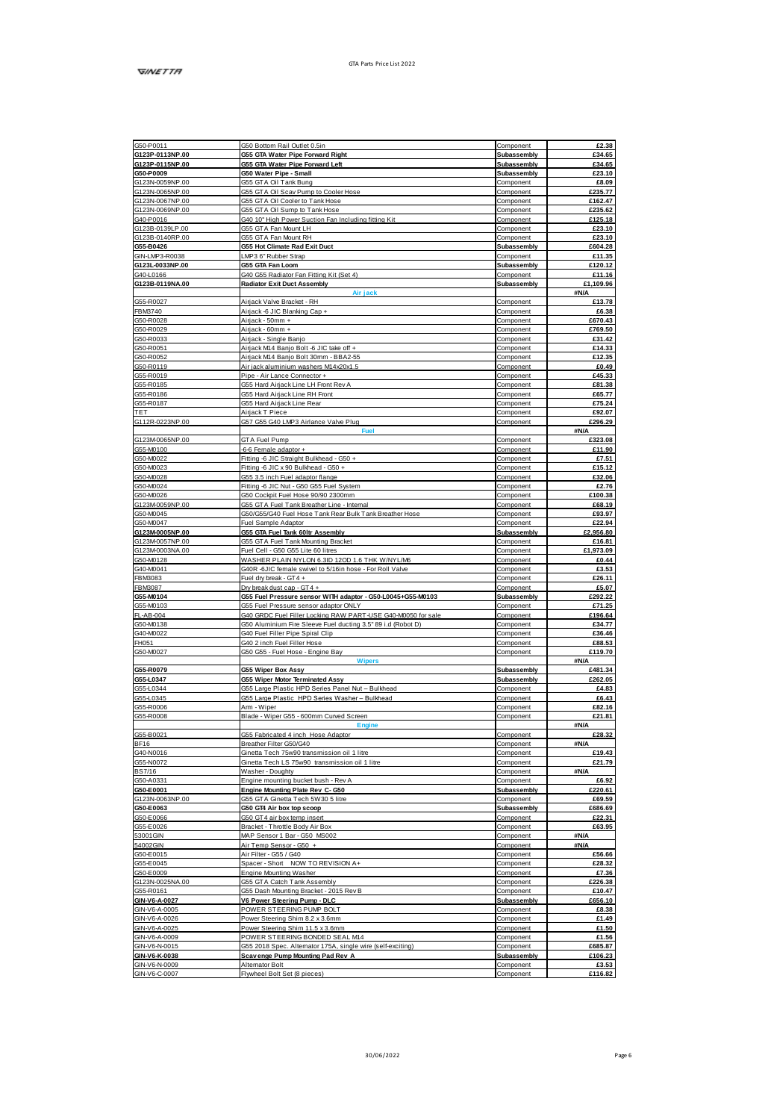| G50-P0011                                                                                                                                                                                                                                                                                                                                                                                                                                                                                       | G50 Bottom Rail Outlet 0.5in                                                                         | Component                  | £2.38                      |
|-------------------------------------------------------------------------------------------------------------------------------------------------------------------------------------------------------------------------------------------------------------------------------------------------------------------------------------------------------------------------------------------------------------------------------------------------------------------------------------------------|------------------------------------------------------------------------------------------------------|----------------------------|----------------------------|
| G123P-0113NP.00                                                                                                                                                                                                                                                                                                                                                                                                                                                                                 | <b>G55 GTA Water Pipe Forward Right</b>                                                              | Subassembly                | £34.65                     |
| G123P-0115NP.00                                                                                                                                                                                                                                                                                                                                                                                                                                                                                 | <b>G55 GTA Water Pipe Forward Left</b>                                                               | Subassembly                | £34.65                     |
| G50-P0009                                                                                                                                                                                                                                                                                                                                                                                                                                                                                       | G50 Water Pipe - Small                                                                               | Subassembly                | £23.10                     |
| G123N-0059NP.00                                                                                                                                                                                                                                                                                                                                                                                                                                                                                 | GSS GTA OI Tank Bunn                                                                                 | Component                  | 68.09                      |
| G123N-0065NP.00<br>G123N-0067NP.00                                                                                                                                                                                                                                                                                                                                                                                                                                                              | G55 GTA Oil Scav Pump to Cooler Hose<br>G55 GTA Oil Cooler to Tank Hose                              | Component<br>Component     | £235.77<br>£162.47         |
| G123N-0069NP.00                                                                                                                                                                                                                                                                                                                                                                                                                                                                                 | G55 GTA Oil Sump to Tank Hose                                                                        | Component                  | £235.62                    |
| G40-P0016                                                                                                                                                                                                                                                                                                                                                                                                                                                                                       | G40 10" High Power Suction Fan Including fitting Kit                                                 | Component                  | £125.18                    |
| G123B-0139LP.00                                                                                                                                                                                                                                                                                                                                                                                                                                                                                 | 355 GTA Fan Mount LH                                                                                 | Component                  | £23.10                     |
| G123B-0140RP.00                                                                                                                                                                                                                                                                                                                                                                                                                                                                                 | GSS GTA Fan Mount RH                                                                                 | Component                  | £23.10                     |
| G55-B0426                                                                                                                                                                                                                                                                                                                                                                                                                                                                                       | G55 Hot Climate Rad Exit Duct                                                                        | Subassembly                | £604.28                    |
| GIN-LMP3-R0038                                                                                                                                                                                                                                                                                                                                                                                                                                                                                  | LMP3 6" Rubber Strap                                                                                 | Component                  | £11.35                     |
| G123L-0033NP.00                                                                                                                                                                                                                                                                                                                                                                                                                                                                                 | G55 GTA Fan Loom                                                                                     | Subassembly                | £120.12                    |
| G40-L0166<br>G123B-0119NA.00                                                                                                                                                                                                                                                                                                                                                                                                                                                                    | G40 G55 Radiator Fan Fitting Kit (Set 4)<br>Radiator Exit Duct Assembly                              | Component<br>Subassembly   | <b>£11.16</b><br>£1,109.96 |
|                                                                                                                                                                                                                                                                                                                                                                                                                                                                                                 | Air jack                                                                                             |                            | #N/A                       |
| GS5-R0027                                                                                                                                                                                                                                                                                                                                                                                                                                                                                       | Airjack Valve Bracket - RH                                                                           | Component                  | £13.78                     |
| <b>FBM3740</b>                                                                                                                                                                                                                                                                                                                                                                                                                                                                                  | Airack-6 JIC Blanking Cap +                                                                          | Component                  | £6.38                      |
| G50-R0028                                                                                                                                                                                                                                                                                                                                                                                                                                                                                       | Ainack - 50mm +                                                                                      | Component                  | £670.43                    |
| G50-R0029                                                                                                                                                                                                                                                                                                                                                                                                                                                                                       | Airiack - 60mm +                                                                                     | Component                  | £769.50                    |
| G50-R0033                                                                                                                                                                                                                                                                                                                                                                                                                                                                                       | Airiack - Single Banio                                                                               | Component                  | £31.42                     |
| G50-R0051                                                                                                                                                                                                                                                                                                                                                                                                                                                                                       | Airjack M14 Banjo Bolt -6 JIC take off +                                                             | Component                  | £14.33                     |
| G50-R0052                                                                                                                                                                                                                                                                                                                                                                                                                                                                                       | Airjack M14 Banjo Bolt 30mm - BBA2-55                                                                | Component                  | £12.35                     |
| GS0-R0119<br>GS5-R0019                                                                                                                                                                                                                                                                                                                                                                                                                                                                          | Air iack aluminium washers M14x20x1.5<br>Pipe - Air Lance Connector +                                | Component                  | 60.49<br>£45.33            |
| G55-R0185                                                                                                                                                                                                                                                                                                                                                                                                                                                                                       | GSS Hard Airiack Line LH Front Rev A                                                                 | Component<br>Component     | £81.38                     |
| G55-R0186                                                                                                                                                                                                                                                                                                                                                                                                                                                                                       | GSS Hard Airjack Line RH Front                                                                       | Component                  | £65.77                     |
| GSS-R0187                                                                                                                                                                                                                                                                                                                                                                                                                                                                                       | GSS Hard Airiack Line Rear                                                                           | Component                  | £75.24                     |
| TET                                                                                                                                                                                                                                                                                                                                                                                                                                                                                             | Airack T Piece                                                                                       | Component                  | £92.07                     |
| G112R-0223NP.00                                                                                                                                                                                                                                                                                                                                                                                                                                                                                 | G57 G55 G40 LMP3 Airlance Valve Plug                                                                 | Component                  | £296.29                    |
|                                                                                                                                                                                                                                                                                                                                                                                                                                                                                                 |                                                                                                      |                            | <b>SN/A</b>                |
| G123M0065NP.00                                                                                                                                                                                                                                                                                                                                                                                                                                                                                  | <b>GTA Fuel Pump</b>                                                                                 | Component                  | £323.08                    |
| G55-M0100                                                                                                                                                                                                                                                                                                                                                                                                                                                                                       | -6-6 Female adaptor +                                                                                | Component                  | £11.90                     |
| G50-M0022                                                                                                                                                                                                                                                                                                                                                                                                                                                                                       | Fitting -6 JIC Straight Bulkhead - G50 +                                                             | Component                  | £7.51                      |
| G50-M0023<br>G50-M0028                                                                                                                                                                                                                                                                                                                                                                                                                                                                          | Fitting -6 JIC x 90 Bulkhead - G50 +                                                                 | Component<br>Component     | £15.12<br>£32.06           |
| G50-M0024                                                                                                                                                                                                                                                                                                                                                                                                                                                                                       | GSS 3.5 inch Fuel adaptor flange<br>Fitting -6 JIC Nut - G50 G55 Fuel System                         | Component                  | £2.76                      |
| G50-M0026                                                                                                                                                                                                                                                                                                                                                                                                                                                                                       | G50 Cockpit Fuel Hose 90/90 2300mm                                                                   | Component                  | £100.38                    |
| G123M0059NP.00                                                                                                                                                                                                                                                                                                                                                                                                                                                                                  | GSS GTA Fuel Tank Breather Line - Internal                                                           | Component                  | £68.19                     |
| G50-M0045                                                                                                                                                                                                                                                                                                                                                                                                                                                                                       | G50/G55/G40 Fuel Hose Tank Rear Bulk Tank Breather Hose                                              | Component                  | £93.97                     |
| G50-M0047                                                                                                                                                                                                                                                                                                                                                                                                                                                                                       | Fuel Sample Adaptor                                                                                  | Component                  | £22.94                     |
| G123M0005NP.00                                                                                                                                                                                                                                                                                                                                                                                                                                                                                  | G55 GTA Fuel Tank 60th Assembly                                                                      | Subassembly                | £2.956.80                  |
| G123M0057NP.00                                                                                                                                                                                                                                                                                                                                                                                                                                                                                  | G55 GTA Fuel Tank Mounting Bracket                                                                   | Component                  | £16.81                     |
| G123M0003NA.00<br>G50-M0128                                                                                                                                                                                                                                                                                                                                                                                                                                                                     | Fuel Cell - G50 G55 Lite 60 litres<br>WASHER PLAIN NYLON 6.3ID 12OD 1.6 THK W/NYL/M6                 | Component                  | £1,973.09<br>£0.44         |
| G40-M0041                                                                                                                                                                                                                                                                                                                                                                                                                                                                                       |                                                                                                      | Component                  |                            |
| <b>FBM9083</b>                                                                                                                                                                                                                                                                                                                                                                                                                                                                                  | G40R -6JIC female swivel to 5/16in hose - For Roll Valve<br>Fuel dry break - GT4 +                   | Component<br>Component     | £3.53<br>£26.11            |
| <b>FBM9087</b>                                                                                                                                                                                                                                                                                                                                                                                                                                                                                  | Dry break dust cap - GT4 +                                                                           | Component                  | £5.07                      |
|                                                                                                                                                                                                                                                                                                                                                                                                                                                                                                 |                                                                                                      |                            |                            |
|                                                                                                                                                                                                                                                                                                                                                                                                                                                                                                 |                                                                                                      | Subassembly                | £292.22                    |
|                                                                                                                                                                                                                                                                                                                                                                                                                                                                                                 | G55 Fuel Pressure sensor WITH adaptor - G50-L0045+G55-M0103<br>G55 Fuel Pressure sensor adaptor ONLY | Component                  | £71.25                     |
|                                                                                                                                                                                                                                                                                                                                                                                                                                                                                                 | G40 GRDC Fuel Filler Locking RAW PART-USE G40-M0050 for sale                                         | Component                  | £196.64                    |
|                                                                                                                                                                                                                                                                                                                                                                                                                                                                                                 | G50 Aluminium Fire Sleeve Fuel ducting 3.5" 89 i.d (Robot D)                                         | Component                  | 634.77                     |
|                                                                                                                                                                                                                                                                                                                                                                                                                                                                                                 | G40 Fuel Filler Pipe Spiral Clip                                                                     | Component                  | £36.46                     |
|                                                                                                                                                                                                                                                                                                                                                                                                                                                                                                 | 340 2 inch Fuel Filler Hose                                                                          | Component                  | £88.53                     |
|                                                                                                                                                                                                                                                                                                                                                                                                                                                                                                 | G50 G55 - Fuel Hose - Engine Bay                                                                     | Component                  | £119.70                    |
|                                                                                                                                                                                                                                                                                                                                                                                                                                                                                                 | Winers                                                                                               |                            | #N/A                       |
|                                                                                                                                                                                                                                                                                                                                                                                                                                                                                                 | <b>G55 Wiper Box Assy</b><br><b>G55 Wiper Motor Terminated Assy</b>                                  | Subassembly<br>Subassembly | £481.34<br>£262.05         |
|                                                                                                                                                                                                                                                                                                                                                                                                                                                                                                 |                                                                                                      | Component                  | £4.83                      |
|                                                                                                                                                                                                                                                                                                                                                                                                                                                                                                 | G55 Large Plastic HPD Series Panel Nut - Bulkhead<br>G55 Large Plastic HPD Series Washer - Bulkhead  | Component                  | PR 43                      |
|                                                                                                                                                                                                                                                                                                                                                                                                                                                                                                 | Arm - Wiper                                                                                          | Component                  | £82.16                     |
|                                                                                                                                                                                                                                                                                                                                                                                                                                                                                                 | Blade - Wiper G55 - 600mm Curved Screen                                                              | Component                  | £21.81                     |
|                                                                                                                                                                                                                                                                                                                                                                                                                                                                                                 | England                                                                                              |                            | #N/A                       |
|                                                                                                                                                                                                                                                                                                                                                                                                                                                                                                 | GSS Fabricated 4 inch Hose Adaptor                                                                   | Component                  | £28.32                     |
|                                                                                                                                                                                                                                                                                                                                                                                                                                                                                                 | Breather Filter G50/G40                                                                              | Component                  | #N/A                       |
|                                                                                                                                                                                                                                                                                                                                                                                                                                                                                                 | Ginetta Tech 75w90 transmission oil 1 litre                                                          | Component                  | £19.43                     |
|                                                                                                                                                                                                                                                                                                                                                                                                                                                                                                 | Ginetta Tech LS 75w90 transmission oil 1 litre<br>Washer - Doughty                                   | Component<br>Component     | £21.79<br>#N/A             |
|                                                                                                                                                                                                                                                                                                                                                                                                                                                                                                 | Engine mounting bucket bush - Rev A                                                                  | Component                  | £6.92                      |
|                                                                                                                                                                                                                                                                                                                                                                                                                                                                                                 | Engine Mounting Plate Rev C- G50                                                                     | <b>Subassembly</b>         | <b>£220.61</b>             |
|                                                                                                                                                                                                                                                                                                                                                                                                                                                                                                 | 355 GTA Ginetta Tech 5W30 5 litre                                                                    | Component                  | £69.59                     |
|                                                                                                                                                                                                                                                                                                                                                                                                                                                                                                 | G50 GT4 Air box top scoop                                                                            | Subassembly                | £686.69                    |
|                                                                                                                                                                                                                                                                                                                                                                                                                                                                                                 | GS0 GT4 air box temp inseit                                                                          | Component                  | £22.31                     |
|                                                                                                                                                                                                                                                                                                                                                                                                                                                                                                 | Bracket - Throttle Body Air Box                                                                      | Component                  | £63.95                     |
|                                                                                                                                                                                                                                                                                                                                                                                                                                                                                                 | MAP Sensor 1 Bar - G50 MS002<br>Air Temp Sensor - G50 +                                              | Component<br>Component     | #N/A                       |
|                                                                                                                                                                                                                                                                                                                                                                                                                                                                                                 | Air Filter - G55 / G40                                                                               | Component                  | #N/A<br>£56.66             |
|                                                                                                                                                                                                                                                                                                                                                                                                                                                                                                 | Spacer - Short NOW TO REVISION A+                                                                    | Component                  | £28.32                     |
|                                                                                                                                                                                                                                                                                                                                                                                                                                                                                                 | Engine Mounting Washer                                                                               | Component                  | £7.36                      |
|                                                                                                                                                                                                                                                                                                                                                                                                                                                                                                 | GSS GTA Catch Tonk Assembly                                                                          | Component                  | <b>#226.38</b>             |
|                                                                                                                                                                                                                                                                                                                                                                                                                                                                                                 | GSS Dash Mounting Bracket - 2015 Rev B                                                               | Component                  | 610.47                     |
|                                                                                                                                                                                                                                                                                                                                                                                                                                                                                                 | V6 Power Steering Pump - DLC                                                                         | <b>Subassembly</b>         | £656.10                    |
|                                                                                                                                                                                                                                                                                                                                                                                                                                                                                                 | POWER STEERING PUMP BOLT                                                                             | Component                  | £8.38                      |
|                                                                                                                                                                                                                                                                                                                                                                                                                                                                                                 | Power Steering Shim 8.2 x 3.6mm                                                                      | Component                  | £1.49                      |
| G55-M0104<br>G55-MD103<br>FL-AB-004<br>G50-MD138<br>G40-M0022<br><b>FH051</b><br>G50-M0027<br>G55-R0079<br>G55-L0347<br>GS5-L0344<br>G55-L0345<br>G55-R0006<br>G55-R0008<br>G55-B0021<br>BF16<br>G40-N0016<br>G55-N0072<br><b>BS7/16</b><br>G50-A0331<br>G50-E0001<br>G123N-0063NP.00<br>G50-E0063<br>G50-E0066<br>G55-E0026<br>53001GIN<br>54002GIN<br>G50-E0015<br>G55-E0045<br>G50-E0009<br>G123N-0025NA.00<br>G55-R0161<br>GIN-V6-A-0027<br>GIN-V6-A-0005<br>GIN-V6-A-0026<br>GIN-V6-A-0025 | Power Steering Shim 11.5 x 3.6mm                                                                     | Component<br>Component     | £1.50<br>£1.56             |
| GIN-V6-A-0009<br>GIN-V6-N-0015                                                                                                                                                                                                                                                                                                                                                                                                                                                                  | POWER STEERING BONDED SEAL M14                                                                       | Component                  | £685.87                    |
| GIN-V6-K-0038                                                                                                                                                                                                                                                                                                                                                                                                                                                                                   | G55 2018 Spec. Alternator 175A, single wire (self-exciting)<br>Scavenge Pump Mounting Pad Rev A      | Subassembly                | £106.23                    |
| GIN-V6-N-0009<br>GIN-V6-C-0007                                                                                                                                                                                                                                                                                                                                                                                                                                                                  | Alternator Bolt<br>Flywheel Bolt Set (8 pieces)                                                      | Component<br>Component     | £3.53<br>£116.82           |